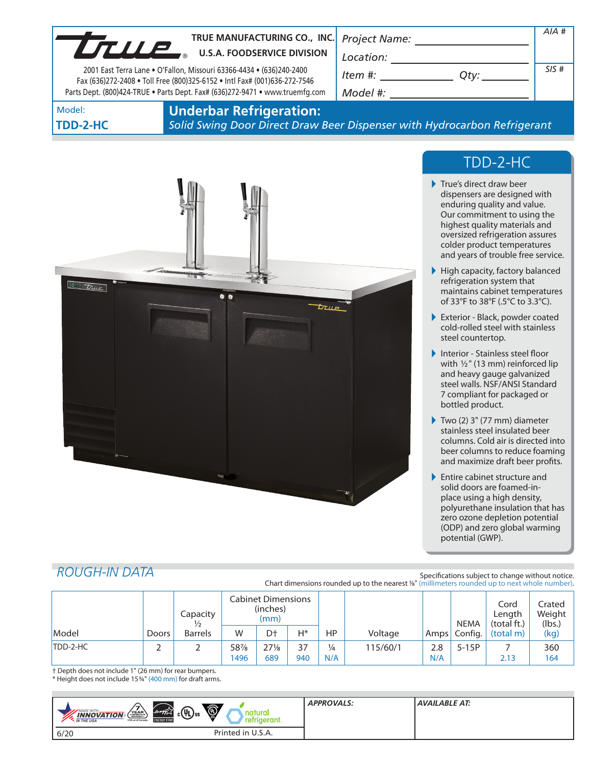| UTULE  | TRUE MANUFACTURING CO., INC. Project Name:<br><b>U.S.A. FOODSERVICE DIVISION</b>                                                                  | Location:                                                                                                              |  | AIA# |
|--------|---------------------------------------------------------------------------------------------------------------------------------------------------|------------------------------------------------------------------------------------------------------------------------|--|------|
|        | 2001 East Terra Lane . O'Fallon, Missouri 63366-4434 . (636)240-2400<br>Fax (636)272-2408 . Toll Free (800)325-6152 . Intl Fax# (001)636-272-7546 | Item #: contract the first state of the first state of the first state of the first state of the first state o<br>Otv: |  | SIS# |
|        | Parts Dept. (800)424-TRUE . Parts Dept. Fax# (636)272-9471 . www.truemfg.com                                                                      | Model #:                                                                                                               |  |      |
| Model: | <b>Underhar Refrigeration:</b>                                                                                                                    |                                                                                                                        |  |      |

# **TDD-2-HC**

#### **Underbar Refrigeration:** *Solid Swing Door Direct Draw Beer Dispenser with Hydrocarbon Refrigerant*



# TDD-2-HC

- True's direct draw beer dispensers are designed with enduring quality and value. Our commitment to using the highest quality materials and oversized refrigeration assures colder product temperatures and years of trouble free service.
- High capacity, factory balanced refrigeration system that maintains cabinet temperatures of 33°F to 38°F (.5°C to 3.3°C).
- Exterior Black, powder coated cold-rolled steel with stainless steel countertop.
- Interior Stainless steel floor with  $1/2$ " (13 mm) reinforced lip and heavy gauge galvanized steel walls. NSF/ANSI Standard 7 compliant for packaged or bottled product.
- Two (2)  $3"$  (77 mm) diameter stainless steel insulated beer columns. Cold air is directed into beer columns to reduce foaming and maximize draft beer profits.
- **Entire cabinet structure and** solid doors are foamed-inplace using a high density, polyurethane insulation that has zero ozone depletion potential (ODP) and zero global warming potential (GWP).

# *ROUGH-IN DATA*

Specifications subject to change without notice. Chart dimensions rounded up to the nearest %" (millimeters rounded up to next whole number).

|          |       | Capacity       | Cabinet Dimensions<br>(inches)<br>(mm) |               |           |                      |          | <b>NEMA</b> | Cord<br>Length<br>(total ft.) | Crated<br>Weight<br>(lbs.) |            |
|----------|-------|----------------|----------------------------------------|---------------|-----------|----------------------|----------|-------------|-------------------------------|----------------------------|------------|
| Model    | Doors | <b>Barrels</b> | W                                      | D†            | $H^*$     | HP                   | Voltage  |             | Amps Config.                  | (total m)                  | (kg)       |
| TDD-2-HC | ∼     |                | 58%<br>1496                            | $27\%$<br>689 | 37<br>940 | $\frac{1}{4}$<br>N/A | 115/60/1 | 2.8<br>N/A  | $5-15P$                       | 2.13                       | 360<br>164 |

† Depth does not include 1" (26 mm) for rear bumpers. \* Height does not include 153/4" (400 mm) for draft arms.

| $\bigcirc$<br>$_{c}$ (Up) <sub>us</sub><br>energy<br>YEAR<br>MADE WITH_<br>natural<br><b>INNOVATION</b><br>refrigerant.<br><b>ENERGY STAR</b><br>USA and Canada<br>*. IN THE USA | <b>APPROVALS:</b> | <b>AVAILABLE AT:</b> |
|----------------------------------------------------------------------------------------------------------------------------------------------------------------------------------|-------------------|----------------------|
| Printed in U.S.A.<br>6/20                                                                                                                                                        |                   |                      |